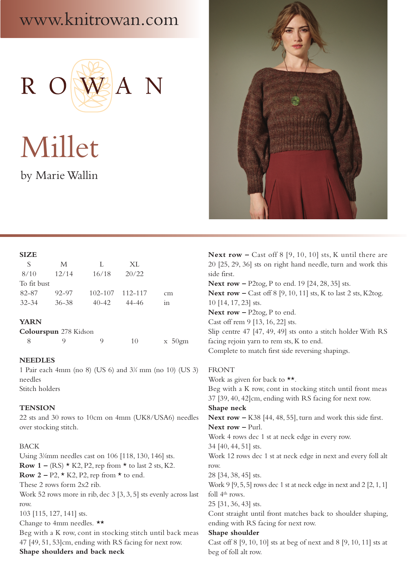# www.knitrowan.com



Millet by Marie Wallin



### **SIZE**

| S.          | M         | -12         | XL      |                 |
|-------------|-----------|-------------|---------|-----------------|
| 8/10        | 12/14     | 16/18       | 20/22   |                 |
| To fit bust |           |             |         |                 |
| 82-87       | $92 - 97$ | $102 - 107$ | 112–117 | cm              |
| $32 - 34$   | $36 - 38$ | $40 - 42$   | 44–46   | 11 <sub>0</sub> |
|             |           |             |         |                 |

### **YARN**

| Colourspun 278 Kidson |  |  |                   |
|-----------------------|--|--|-------------------|
|                       |  |  | $x \frac{50}{gm}$ |

### **NEEDLES**

1 Pair each 4mm (no 8) (US 6) and 31 ⁄4 mm (no 10) (US 3) needles Stitch holders

## **TENSION**

22 sts and 30 rows to 10cm on 4mm (UK8/USA6) needles over stocking stitch.

### BACK

Using 31 ⁄4mm needles cast on 106 [118, 130, 146] sts. **Row 1** – (RS)  $\star$  K2, P2, rep from  $\star$  to last 2 sts, K2. **Row 2** – P2,  $\star$  K2, P2, rep from  $\star$  to end. These 2 rows form 2x2 rib. Work 52 rows more in rib, dec 3 [3, 3, 5] sts evenly across last row. 103 [115, 127, 141] sts. Change to 4mm needles. **\*\*** Beg with a K row, cont in stocking stitch until back meas 47 [49, 51, 53]cm, ending with RS facing for next row. **Shape shoulders and back neck**

**Next row –** Cast off 8 [9, 10, 10] sts, K until there are 20 [25, 29, 36] sts on right hand needle, turn and work this side first. **Next row –** P2tog, P to end. 19 [24, 28, 35] sts. **Next row –** Cast off 8 [9, 10, 11] sts, K to last 2 sts, K2tog. 10 [14, 17, 23] sts. **Next row –** P2tog, P to end. Cast off rem 9 [13, 16, 22] sts. Slip centre 47 [47, 49, 49] sts onto a stitch holder With RS facing rejoin yarn to rem sts, K to end. Complete to match first side reversing shapings.

# FRONT

Work as given for back to  $**$ . Beg with a K row, cont in stocking stitch until front meas 37 [39, 40, 42]cm, ending with RS facing for next row. **Shape neck Next row –** K38 [44, 48, 55], turn and work this side first. **Next row –** Purl. Work 4 rows dec 1 st at neck edge in every row. 34 [40, 44, 51] sts. Work 12 rows dec 1 st at neck edge in next and every foll alt row. 28 [34, 38, 45] sts. Work 9 [9, 5, 5] rows dec 1 st at neck edge in next and  $2$  [2, 1, 1] foll 4th rows. 25 [31, 36, 43] sts. Cont straight until front matches back to shoulder shaping, ending with RS facing for next row. **Shape shoulder** Cast off 8 [9, 10, 10] sts at beg of next and 8 [9, 10, 11] sts at beg of foll alt row.